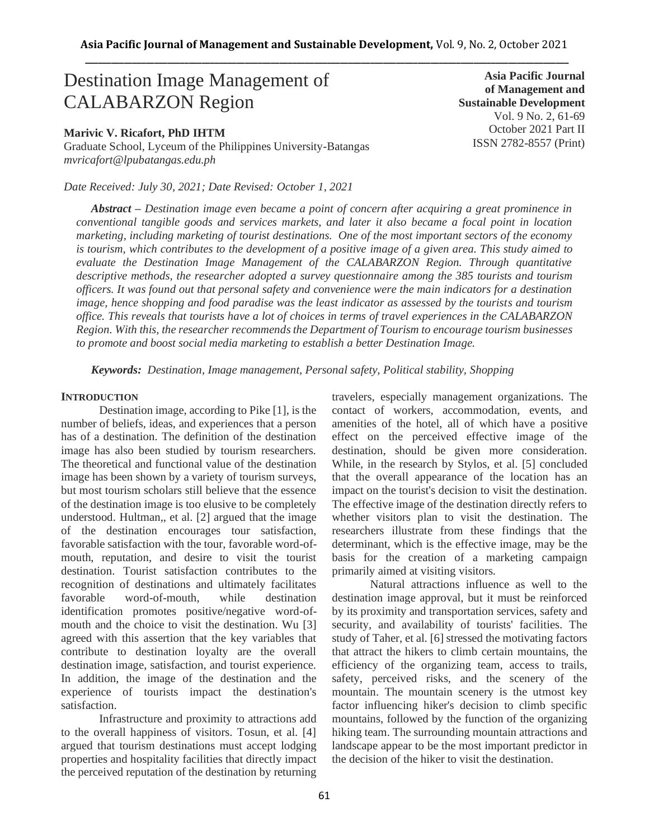# Destination Image Management of CALABARZON Region

### **Marivic V. Ricafort, PhD IHTM**

Graduate School, Lyceum of the Philippines University-Batangas *mvricafort@lpubatangas.edu.ph*

*Date Received: July 30, 2021; Date Revised: October 1, 2021*

*Abstract – Destination image even became a point of concern after acquiring a great prominence in conventional tangible goods and services markets, and later it also became a focal point in location marketing, including marketing of tourist destinations. One of the most important sectors of the economy is tourism, which contributes to the development of a positive image of a given area. This study aimed to evaluate the Destination Image Management of the CALABARZON Region. Through quantitative descriptive methods, the researcher adopted a survey questionnaire among the 385 tourists and tourism officers. It was found out that personal safety and convenience were the main indicators for a destination image, hence shopping and food paradise was the least indicator as assessed by the tourists and tourism office. This reveals that tourists have a lot of choices in terms of travel experiences in the CALABARZON Region. With this, the researcher recommendsthe Department of Tourism to encourage tourism businesses to promote and boost social media marketing to establish a better Destination Image.*

*Keywords: Destination, Image management, Personal safety, Political stability, Shopping*

#### **INTRODUCTION**

Destination image, according to Pike [1], is the number of beliefs, ideas, and experiences that a person has of a destination. The definition of the destination image has also been studied by tourism researchers. The theoretical and functional value of the destination image has been shown by a variety of tourism surveys, but most tourism scholars still believe that the essence of the destination image is too elusive to be completely understood. Hultman,, et al. [2] argued that the image of the destination encourages tour satisfaction, favorable satisfaction with the tour, favorable word-ofmouth, reputation, and desire to visit the tourist destination. Tourist satisfaction contributes to the recognition of destinations and ultimately facilitates favorable word-of-mouth, while destination identification promotes positive/negative word-ofmouth and the choice to visit the destination. Wu [3] agreed with this assertion that the key variables that contribute to destination loyalty are the overall destination image, satisfaction, and tourist experience. In addition, the image of the destination and the experience of tourists impact the destination's satisfaction.

Infrastructure and proximity to attractions add to the overall happiness of visitors. Tosun, et al. [4] argued that tourism destinations must accept lodging properties and hospitality facilities that directly impact the perceived reputation of the destination by returning travelers, especially management organizations. The contact of workers, accommodation, events, and amenities of the hotel, all of which have a positive effect on the perceived effective image of the destination, should be given more consideration. While, in the research by Stylos, et al. [5] concluded that the overall appearance of the location has an impact on the tourist's decision to visit the destination. The effective image of the destination directly refers to whether visitors plan to visit the destination. The researchers illustrate from these findings that the determinant, which is the effective image, may be the basis for the creation of a marketing campaign primarily aimed at visiting visitors.

Natural attractions influence as well to the destination image approval, but it must be reinforced by its proximity and transportation services, safety and security, and availability of tourists' facilities. The study of Taher, et al. [6] stressed the motivating factors that attract the hikers to climb certain mountains, the efficiency of the organizing team, access to trails, safety, perceived risks, and the scenery of the mountain. The mountain scenery is the utmost key factor influencing hiker's decision to climb specific mountains, followed by the function of the organizing hiking team. The surrounding mountain attractions and landscape appear to be the most important predictor in the decision of the hiker to visit the destination.

**Asia Pacific Journal of Management and Sustainable Development**  Vol. 9 No. 2, 61-69 October 2021 Part II ISSN 2782-8557 (Print)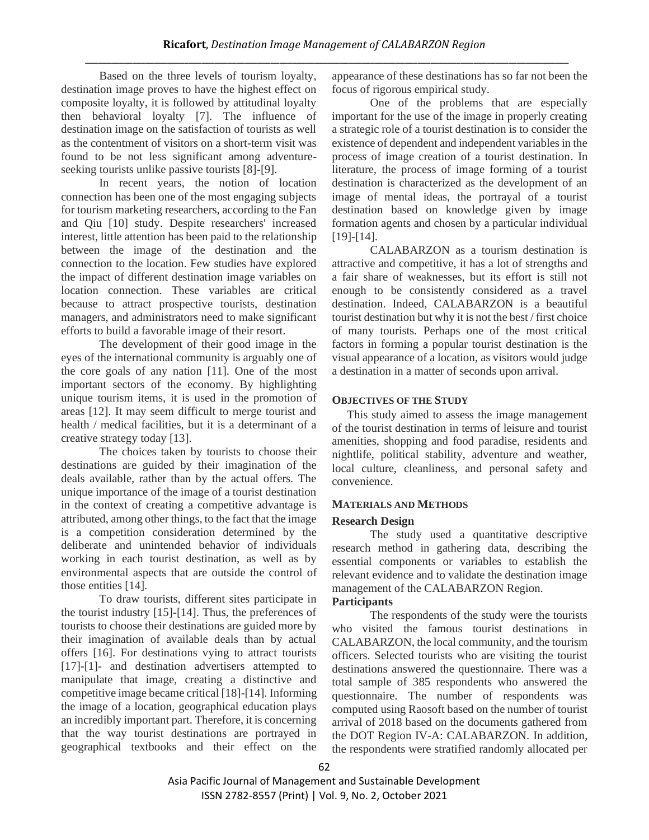Based on the three levels of tourism loyalty, destination image proves to have the highest effect on composite loyalty, it is followed by attitudinal loyalty then behavioral loyalty [7]. The influence of destination image on the satisfaction of tourists as well as the contentment of visitors on a short-term visit was found to be not less significant among adventureseeking tourists unlike passive tourists [8]-[9].

In recent years, the notion of location connection has been one of the most engaging subjects for tourism marketing researchers, according to the Fan and Qiu [10] study. Despite researchers' increased interest, little attention has been paid to the relationship between the image of the destination and the connection to the location. Few studies have explored the impact of different destination image variables on location connection. These variables are critical because to attract prospective tourists, destination managers, and administrators need to make significant efforts to build a favorable image of their resort.

The development of their good image in the eyes of the international community is arguably one of the core goals of any nation [11]. One of the most important sectors of the economy. By highlighting unique tourism items, it is used in the promotion of areas [12]. It may seem difficult to merge tourist and health / medical facilities, but it is a determinant of a creative strategy today [13].

The choices taken by tourists to choose their destinations are guided by their imagination of the deals available, rather than by the actual offers. The unique importance of the image of a tourist destination in the context of creating a competitive advantage is attributed, among other things, to the fact that the image is a competition consideration determined by the deliberate and unintended behavior of individuals working in each tourist destination, as well as by environmental aspects that are outside the control of those entities [14].

To draw tourists, different sites participate in the tourist industry [15]-[14]. Thus, the preferences of tourists to choose their destinations are guided more by their imagination of available deals than by actual offers [16]. For destinations vying to attract tourists [17]-[1]- and destination advertisers attempted to manipulate that image, creating a distinctive and competitive image became critical [18]-[14]. Informing the image of a location, geographical education plays an incredibly important part. Therefore, it is concerning that the way tourist destinations are portrayed in geographical textbooks and their effect on the appearance of these destinations has so far not been the focus of rigorous empirical study.

One of the problems that are especially important for the use of the image in properly creating a strategic role of a tourist destination is to consider the existence of dependent and independent variables in the process of image creation of a tourist destination. In literature, the process of image forming of a tourist destination is characterized as the development of an image of mental ideas, the portrayal of a tourist destination based on knowledge given by image formation agents and chosen by a particular individual [19]-[14].

CALABARZON as a tourism destination is attractive and competitive, it has a lot of strengths and a fair share of weaknesses, but its effort is still not enough to be consistently considered as a travel destination. Indeed, CALABARZON is a beautiful tourist destination but why it is not the best / first choice of many tourists. Perhaps one of the most critical factors in forming a popular tourist destination is the visual appearance of a location, as visitors would judge a destination in a matter of seconds upon arrival.

# **OBJECTIVES OF THE STUDY**

This study aimed to assess the image management of the tourist destination in terms of leisure and tourist amenities, shopping and food paradise, residents and nightlife, political stability, adventure and weather, local culture, cleanliness, and personal safety and convenience.

# **MATERIALS AND METHODS**

# **Research Design**

The study used a quantitative descriptive research method in gathering data, describing the essential components or variables to establish the relevant evidence and to validate the destination image management of the CALABARZON Region.

# **Participants**

The respondents of the study were the tourists who visited the famous tourist destinations in CALABARZON, the local community, and the tourism officers. Selected tourists who are visiting the tourist destinations answered the questionnaire. There was a total sample of 385 respondents who answered the questionnaire. The number of respondents was computed using Raosoft based on the number of tourist arrival of 2018 based on the documents gathered from the DOT Region IV-A: CALABARZON. In addition, the respondents were stratified randomly allocated per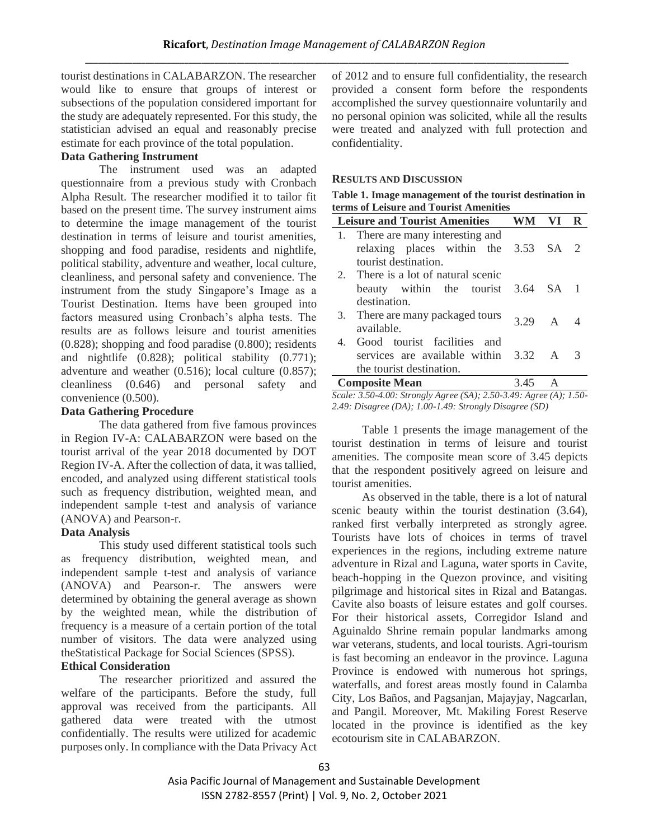tourist destinations in CALABARZON. The researcher would like to ensure that groups of interest or subsections of the population considered important for the study are adequately represented. For this study, the statistician advised an equal and reasonably precise estimate for each province of the total population.

# **Data Gathering Instrument**

The instrument used was an adapted questionnaire from a previous study with Cronbach Alpha Result. The researcher modified it to tailor fit based on the present time. The survey instrument aims to determine the image management of the tourist destination in terms of leisure and tourist amenities, shopping and food paradise, residents and nightlife, political stability, adventure and weather, local culture, cleanliness, and personal safety and convenience. The instrument from the study Singapore's Image as a Tourist Destination. Items have been grouped into factors measured using Cronbach's alpha tests. The results are as follows leisure and tourist amenities (0.828); shopping and food paradise (0.800); residents and nightlife (0.828); political stability (0.771); adventure and weather (0.516); local culture (0.857); cleanliness (0.646) and personal safety and convenience (0.500).

# **Data Gathering Procedure**

The data gathered from five famous provinces in Region IV-A: CALABARZON were based on the tourist arrival of the year 2018 documented by DOT Region IV-A. After the collection of data, it was tallied, encoded, and analyzed using different statistical tools such as frequency distribution, weighted mean, and independent sample t-test and analysis of variance (ANOVA) and Pearson-r.

# **Data Analysis**

This study used different statistical tools such as frequency distribution, weighted mean, and independent sample t-test and analysis of variance (ANOVA) and Pearson-r. The answers were determined by obtaining the general average as shown by the weighted mean, while the distribution of frequency is a measure of a certain portion of the total number of visitors. The data were analyzed using theStatistical Package for Social Sciences (SPSS).

# **Ethical Consideration**

The researcher prioritized and assured the welfare of the participants. Before the study, full approval was received from the participants. All gathered data were treated with the utmost confidentially. The results were utilized for academic purposes only. In compliance with the Data Privacy Act of 2012 and to ensure full confidentiality, the research provided a consent form before the respondents accomplished the survey questionnaire voluntarily and no personal opinion was solicited, while all the results were treated and analyzed with full protection and confidentiality.

# **RESULTS AND DISCUSSION**

| Table 1. Image management of the tourist destination in |
|---------------------------------------------------------|
| terms of Leisure and Tourist Amenities                  |

| <b>Leisure and Tourist Amenities</b>   | <b>WM</b> | VI.          |  |
|----------------------------------------|-----------|--------------|--|
| 1. There are many interesting and      |           |              |  |
| relaxing places within the 3.53 SA 2   |           |              |  |
| tourist destination.                   |           |              |  |
| 2. There is a lot of natural scenic    |           |              |  |
| beauty within the tourist 3.64 SA 1    |           |              |  |
| destination.                           |           |              |  |
| 3. There are many packaged tours       | 3.29 A 4  |              |  |
| available.                             |           |              |  |
| 4. Good tourist facilities and         |           |              |  |
| services are available within 3.32 A 3 |           |              |  |
| the tourist destination.               |           |              |  |
| <b>Composite Mean</b>                  | 3.45      | $\mathbf{A}$ |  |

*Scale: 3.50-4.00: Strongly Agree (SA); 2.50-3.49: Agree (A); 1.50- 2.49: Disagree (DA); 1.00-1.49: Strongly Disagree (SD)*

Table 1 presents the image management of the tourist destination in terms of leisure and tourist amenities. The composite mean score of 3.45 depicts that the respondent positively agreed on leisure and tourist amenities.

As observed in the table, there is a lot of natural scenic beauty within the tourist destination (3.64), ranked first verbally interpreted as strongly agree. Tourists have lots of choices in terms of travel experiences in the regions, including extreme nature adventure in Rizal and Laguna, water sports in Cavite, beach-hopping in the Quezon province, and visiting pilgrimage and historical sites in Rizal and Batangas. Cavite also boasts of leisure estates and golf courses. For their historical assets, Corregidor Island and Aguinaldo Shrine remain popular landmarks among war veterans, students, and local tourists. Agri-tourism is fast becoming an endeavor in the province. Laguna Province is endowed with numerous hot springs, waterfalls, and forest areas mostly found in Calamba City, Los Baños, and Pagsanjan, Majayjay, Nagcarlan, and Pangil. Moreover, Mt. Makiling Forest Reserve located in the province is identified as the key ecotourism site in CALABARZON.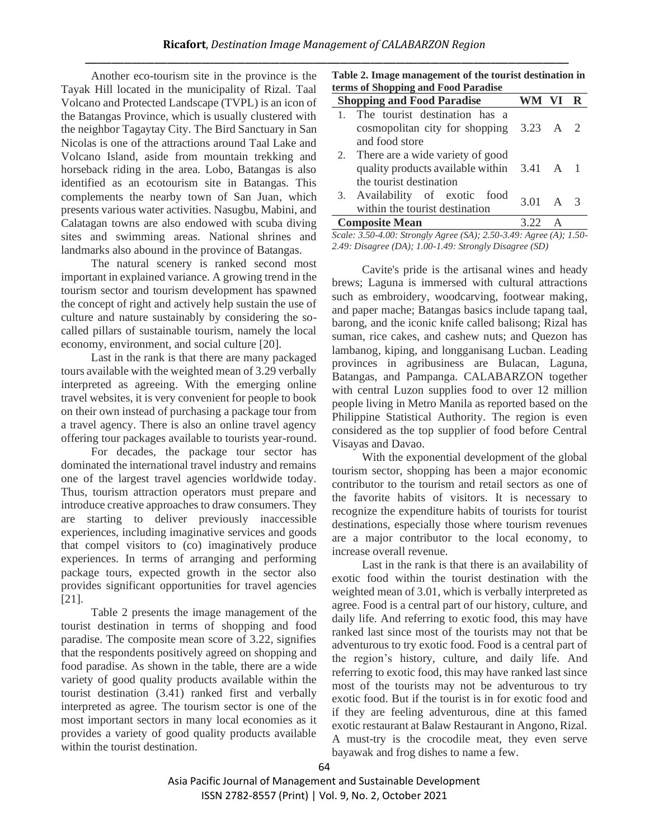Another eco-tourism site in the province is the Tayak Hill located in the municipality of Rizal. Taal Volcano and Protected Landscape (TVPL) is an icon of the Batangas Province, which is usually clustered with the neighbor Tagaytay City. The Bird Sanctuary in San Nicolas is one of the attractions around Taal Lake and Volcano Island, aside from mountain trekking and horseback riding in the area. Lobo, Batangas is also identified as an ecotourism site in Batangas. This complements the nearby town of San Juan, which presents various water activities. Nasugbu, Mabini, and Calatagan towns are also endowed with scuba diving sites and swimming areas. National shrines and landmarks also abound in the province of Batangas.

The natural scenery is ranked second most important in explained variance. A growing trend in the tourism sector and tourism development has spawned the concept of right and actively help sustain the use of culture and nature sustainably by considering the socalled pillars of sustainable tourism, namely the local economy, environment, and social culture [20].

Last in the rank is that there are many packaged tours available with the weighted mean of 3.29 verbally interpreted as agreeing. With the emerging online travel websites, it is very convenient for people to book on their own instead of purchasing a package tour from a travel agency. There is also an online travel agency offering tour packages available to tourists year-round.

For decades, the package tour sector has dominated the international travel industry and remains one of the largest travel agencies worldwide today. Thus, tourism attraction operators must prepare and introduce creative approaches to draw consumers. They are starting to deliver previously inaccessible experiences, including imaginative services and goods that compel visitors to (co) imaginatively produce experiences. In terms of arranging and performing package tours, expected growth in the sector also provides significant opportunities for travel agencies [21].

Table 2 presents the image management of the tourist destination in terms of shopping and food paradise. The composite mean score of 3.22, signifies that the respondents positively agreed on shopping and food paradise. As shown in the table, there are a wide variety of good quality products available within the tourist destination (3.41) ranked first and verbally interpreted as agree. The tourism sector is one of the most important sectors in many local economies as it provides a variety of good quality products available within the tourist destination.

|  | Table 2. Image management of the tourist destination in |
|--|---------------------------------------------------------|
|  | terms of Shopping and Food Paradise                     |

|    | <b>Shopping and Food Paradise</b>                    | WM VI R |  |
|----|------------------------------------------------------|---------|--|
|    | The tourist destination has a                        |         |  |
|    | cosmopolitan city for shopping $3.23 \text{ A}$ 2    |         |  |
|    | and food store                                       |         |  |
| 2. | There are a wide variety of good                     |         |  |
|    | quality products available within $3.41 \text{ A}$ 1 |         |  |
|    | the tourist destination                              |         |  |
|    | 3. Availability of exotic food                       |         |  |
|    | within the tourist destination                       | 301 A 3 |  |
|    | <b>Composite Mean</b>                                |         |  |

*Scale: 3.50-4.00: Strongly Agree (SA); 2.50-3.49: Agree (A); 1.50- 2.49: Disagree (DA); 1.00-1.49: Strongly Disagree (SD)*

Cavite's pride is the artisanal wines and heady brews; Laguna is immersed with cultural attractions such as embroidery, woodcarving, footwear making, and paper mache; Batangas basics include tapang taal, barong, and the iconic knife called balisong; Rizal has suman, rice cakes, and cashew nuts; and Quezon has lambanog, kiping, and longganisang Lucban. Leading provinces in agribusiness are Bulacan, Laguna, Batangas, and Pampanga. CALABARZON together with central Luzon supplies food to over 12 million people living in Metro Manila as reported based on the Philippine Statistical Authority. The region is even considered as the top supplier of food before Central Visayas and Davao.

With the exponential development of the global tourism sector, shopping has been a major economic contributor to the tourism and retail sectors as one of the favorite habits of visitors. It is necessary to recognize the expenditure habits of tourists for tourist destinations, especially those where tourism revenues are a major contributor to the local economy, to increase overall revenue.

Last in the rank is that there is an availability of exotic food within the tourist destination with the weighted mean of 3.01, which is verbally interpreted as agree. Food is a central part of our history, culture, and daily life. And referring to exotic food, this may have ranked last since most of the tourists may not that be adventurous to try exotic food. Food is a central part of the region's history, culture, and daily life. And referring to exotic food, this may have ranked last since most of the tourists may not be adventurous to try exotic food. But if the tourist is in for exotic food and if they are feeling adventurous, dine at this famed exotic restaurant at Balaw Restaurant in Angono, Rizal. A must-try is the crocodile meat, they even serve bayawak and frog dishes to name a few.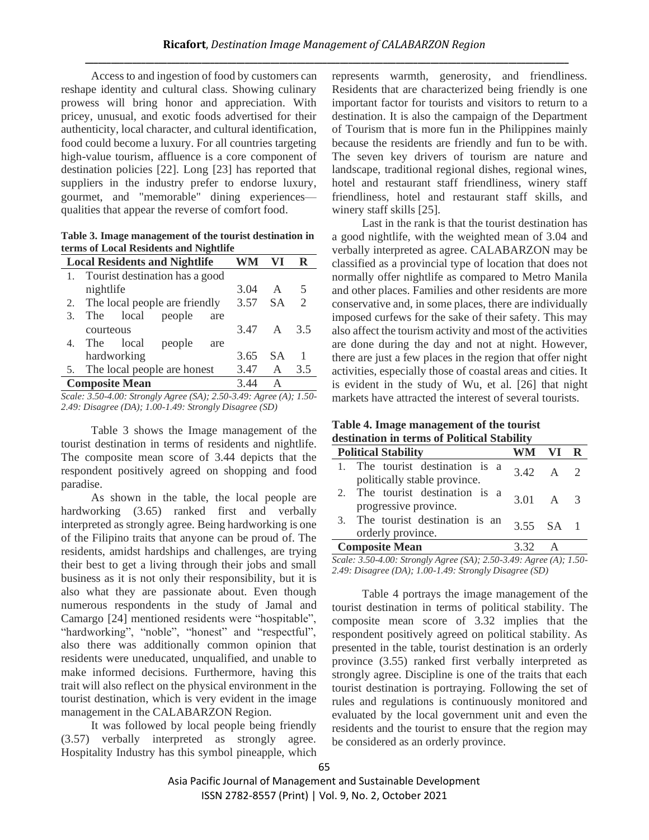Access to and ingestion of food by customers can reshape identity and cultural class. Showing culinary prowess will bring honor and appreciation. With pricey, unusual, and exotic foods advertised for their authenticity, local character, and cultural identification, food could become a luxury. For all countries targeting high-value tourism, affluence is a core component of destination policies [22]. Long [23] has reported that suppliers in the industry prefer to endorse luxury, gourmet, and "memorable" dining experiences qualities that appear the reverse of comfort food.

**Table 3. Image management of the tourist destination in terms of Local Residents and Nightlife**

|    | <b>Local Residents and Nightlife</b> |              |                                   |     |            | R              |     |
|----|--------------------------------------|--------------|-----------------------------------|-----|------------|----------------|-----|
|    |                                      |              | 1. Tourist destination has a good |     |            |                |     |
|    | nightlife                            |              |                                   |     | 3.04       | A              | -5  |
|    |                                      |              | 2. The local people are friendly  |     | 3.57 SA    |                | 2   |
| 3. |                                      |              | The local people                  | are |            |                |     |
|    | courteous                            |              |                                   |     | 3.47 A 3.5 |                |     |
|    |                                      | 4. The local | people                            | are |            |                |     |
|    |                                      | hardworking  |                                   |     | 3.65       | <b>SA</b>      |     |
|    |                                      |              | 5. The local people are honest    |     | 3.47       | $\overline{A}$ | 3.5 |
|    | <b>Composite Mean</b>                |              |                                   |     | 3.44       | А              |     |

*Scale: 3.50-4.00: Strongly Agree (SA); 2.50-3.49: Agree (A); 1.50- 2.49: Disagree (DA); 1.00-1.49: Strongly Disagree (SD)*

Table 3 shows the Image management of the tourist destination in terms of residents and nightlife. The composite mean score of 3.44 depicts that the respondent positively agreed on shopping and food paradise.

As shown in the table, the local people are hardworking (3.65) ranked first and verbally interpreted as strongly agree. Being hardworking is one of the Filipino traits that anyone can be proud of. The residents, amidst hardships and challenges, are trying their best to get a living through their jobs and small business as it is not only their responsibility, but it is also what they are passionate about. Even though numerous respondents in the study of Jamal and Camargo [24] mentioned residents were "hospitable", "hardworking", "noble", "honest" and "respectful", also there was additionally common opinion that residents were uneducated, unqualified, and unable to make informed decisions. Furthermore, having this trait will also reflect on the physical environment in the tourist destination, which is very evident in the image management in the CALABARZON Region.

It was followed by local people being friendly (3.57) verbally interpreted as strongly agree. Hospitality Industry has this symbol pineapple, which represents warmth, generosity, and friendliness. Residents that are characterized being friendly is one important factor for tourists and visitors to return to a destination. It is also the campaign of the Department of Tourism that is more fun in the Philippines mainly because the residents are friendly and fun to be with. The seven key drivers of tourism are nature and landscape, traditional regional dishes, regional wines, hotel and restaurant staff friendliness, winery staff friendliness, hotel and restaurant staff skills, and winery staff skills [25].

Last in the rank is that the tourist destination has a good nightlife, with the weighted mean of 3.04 and verbally interpreted as agree. CALABARZON may be classified as a provincial type of location that does not normally offer nightlife as compared to Metro Manila and other places. Families and other residents are more conservative and, in some places, there are individually imposed curfews for the sake of their safety. This may also affect the tourism activity and most of the activities are done during the day and not at night. However, there are just a few places in the region that offer night activities, especially those of coastal areas and cities. It is evident in the study of Wu, et al. [26] that night markets have attracted the interest of several tourists.

| Table 4. Image management of the tourist    |  |
|---------------------------------------------|--|
| destination in terms of Political Stability |  |

|  | <b>Political Stability</b>                                      | WM VI R                |  |  |  |  |
|--|-----------------------------------------------------------------|------------------------|--|--|--|--|
|  | 1. The tourist destination is a<br>politically stable province. | $3.42 \quad A \quad 2$ |  |  |  |  |
|  | 2. The tourist destination is a<br>progressive province.        | $3.01 \quad A \quad 3$ |  |  |  |  |
|  | 3. The tourist destination is an<br>orderly province.           | $3.55$ SA 1            |  |  |  |  |
|  | <b>Composite Mean</b><br>3.32                                   |                        |  |  |  |  |

*Scale: 3.50-4.00: Strongly Agree (SA); 2.50-3.49: Agree (A); 1.50- 2.49: Disagree (DA); 1.00-1.49: Strongly Disagree (SD)*

Table 4 portrays the image management of the tourist destination in terms of political stability. The composite mean score of 3.32 implies that the respondent positively agreed on political stability. As presented in the table, tourist destination is an orderly province (3.55) ranked first verbally interpreted as strongly agree. Discipline is one of the traits that each tourist destination is portraying. Following the set of rules and regulations is continuously monitored and evaluated by the local government unit and even the residents and the tourist to ensure that the region may be considered as an orderly province.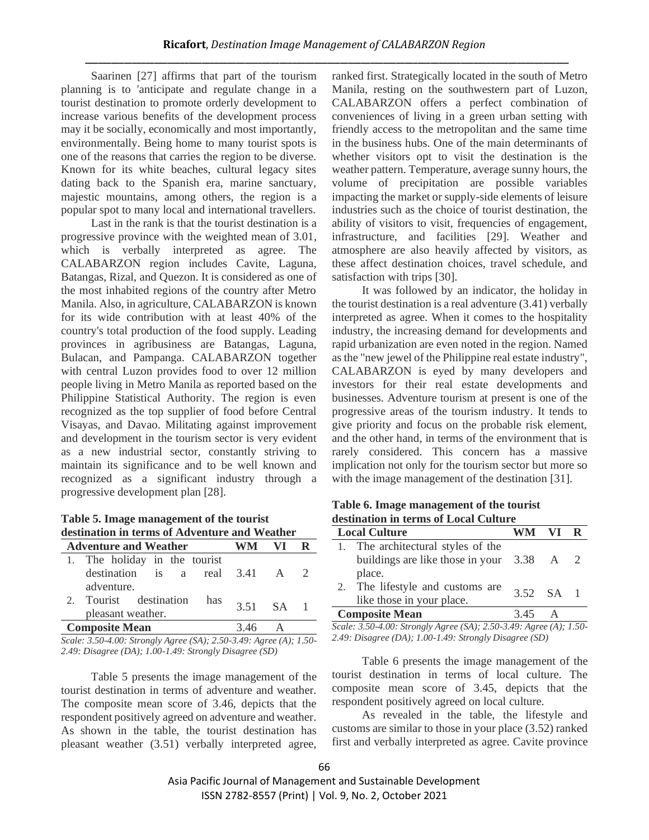Saarinen [27] affirms that part of the tourism planning is to 'anticipate and regulate change in a tourist destination to promote orderly development to increase various benefits of the development process may it be socially, economically and most importantly, environmentally. Being home to many tourist spots is one of the reasons that carries the region to be diverse. Known for its white beaches, cultural legacy sites dating back to the Spanish era, marine sanctuary, majestic mountains, among others, the region is a popular spot to many local and international travellers.

Last in the rank is that the tourist destination is a progressive province with the weighted mean of 3.01, which is verbally interpreted as agree. The CALABARZON region includes Cavite, Laguna, Batangas, Rizal, and Quezon. It is considered as one of the most inhabited regions of the country after Metro Manila. Also, in agriculture, CALABARZON is known for its wide contribution with at least 40% of the country's total production of the food supply. Leading provinces in agribusiness are Batangas, Laguna, Bulacan, and Pampanga. CALABARZON together with central Luzon provides food to over 12 million people living in Metro Manila as reported based on the Philippine Statistical Authority. The region is even recognized as the top supplier of food before Central Visayas, and Davao. Militating against improvement and development in the tourism sector is very evident as a new industrial sector, constantly striving to maintain its significance and to be well known and recognized as a significant industry through a progressive development plan [28].

**Table 5. Image management of the tourist destination in terms of Adventure and Weather**

| <b>Adventure and Weather</b>                       | WM.       | - VI |  |
|----------------------------------------------------|-----------|------|--|
| 1. The holiday in the tourist                      |           |      |  |
| destination is a real $3.41$ A 2                   |           |      |  |
| adventure.                                         |           |      |  |
| 2. Tourist destination<br>has<br>pleasant weather. | 3.51 SA 1 |      |  |
| <b>Composite Mean</b>                              |           |      |  |

*Scale: 3.50-4.00: Strongly Agree (SA); 2.50-3.49: Agree (A); 1.50- 2.49: Disagree (DA); 1.00-1.49: Strongly Disagree (SD)*

Table 5 presents the image management of the tourist destination in terms of adventure and weather. The composite mean score of 3.46, depicts that the respondent positively agreed on adventure and weather. As shown in the table, the tourist destination has pleasant weather (3.51) verbally interpreted agree, ranked first. Strategically located in the south of Metro Manila, resting on the southwestern part of Luzon, CALABARZON offers a perfect combination of conveniences of living in a green urban setting with friendly access to the metropolitan and the same time in the business hubs. One of the main determinants of whether visitors opt to visit the destination is the weather pattern. Temperature, average sunny hours, the volume of precipitation are possible variables impacting the market or supply-side elements of leisure industries such as the choice of tourist destination, the ability of visitors to visit, frequencies of engagement, infrastructure, and facilities [29]. Weather and atmosphere are also heavily affected by visitors, as these affect destination choices, travel schedule, and satisfaction with trips [30].

It was followed by an indicator, the holiday in the tourist destination is a real adventure (3.41) verbally interpreted as agree. When it comes to the hospitality industry, the increasing demand for developments and rapid urbanization are even noted in the region. Named as the "new jewel of the Philippine real estate industry", CALABARZON is eyed by many developers and investors for their real estate developments and businesses. Adventure tourism at present is one of the progressive areas of the tourism industry. It tends to give priority and focus on the probable risk element, and the other hand, in terms of the environment that is rarely considered. This concern has a massive implication not only for the tourism sector but more so with the image management of the destination [31].

**Table 6. Image management of the tourist destination in terms of Local Culture**

| <b>Local Culture</b>                                                            | WM VI R   |  |
|---------------------------------------------------------------------------------|-----------|--|
| 1. The architectural styles of the<br>buildings are like those in your 3.38 A 2 |           |  |
| place.<br>2. The lifestyle and customs are<br>like those in your place.         | 3.52 SA 1 |  |
| <b>Composite Mean</b>                                                           | 3.45      |  |

*Scale: 3.50-4.00: Strongly Agree (SA); 2.50-3.49: Agree (A); 1.50- 2.49: Disagree (DA); 1.00-1.49: Strongly Disagree (SD)*

Table 6 presents the image management of the tourist destination in terms of local culture. The composite mean score of 3.45, depicts that the respondent positively agreed on local culture.

As revealed in the table, the lifestyle and customs are similar to those in your place (3.52) ranked first and verbally interpreted as agree. Cavite province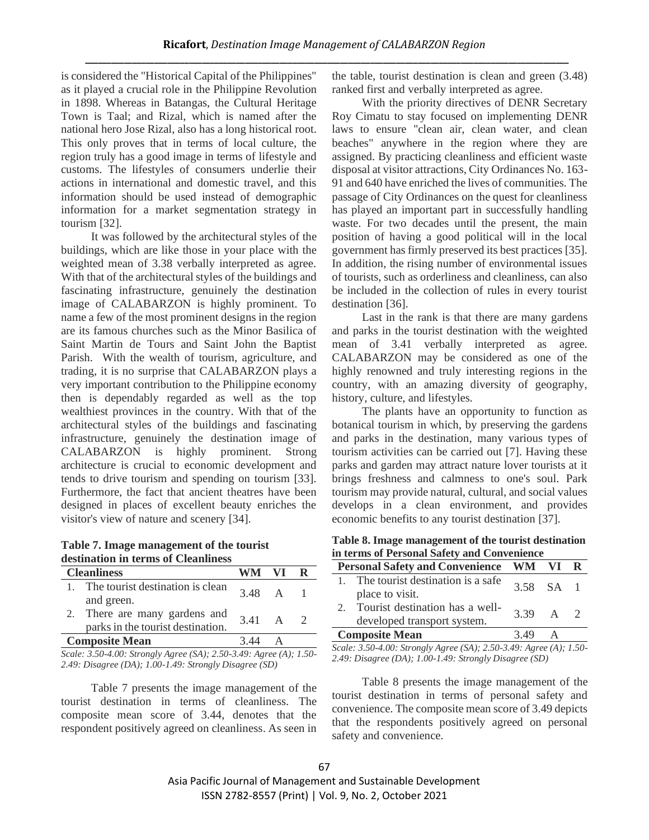is considered the "Historical Capital of the Philippines" as it played a crucial role in the Philippine Revolution in 1898. Whereas in Batangas, the Cultural Heritage Town is Taal; and Rizal, which is named after the national hero Jose Rizal, also has a long historical root. This only proves that in terms of local culture, the region truly has a good image in terms of lifestyle and customs. The lifestyles of consumers underlie their actions in international and domestic travel, and this information should be used instead of demographic information for a market segmentation strategy in tourism [32].

It was followed by the architectural styles of the buildings, which are like those in your place with the weighted mean of 3.38 verbally interpreted as agree. With that of the architectural styles of the buildings and fascinating infrastructure, genuinely the destination image of CALABARZON is highly prominent. To name a few of the most prominent designs in the region are its famous churches such as the Minor Basilica of Saint Martin de Tours and Saint John the Baptist Parish. With the wealth of tourism, agriculture, and trading, it is no surprise that CALABARZON plays a very important contribution to the Philippine economy then is dependably regarded as well as the top wealthiest provinces in the country. With that of the architectural styles of the buildings and fascinating infrastructure, genuinely the destination image of CALABARZON is highly prominent. Strong architecture is crucial to economic development and tends to drive tourism and spending on tourism [33]. Furthermore, the fact that ancient theatres have been designed in places of excellent beauty enriches the visitor's view of nature and scenery [34].

**Table 7. Image management of the tourist destination in terms of Cleanliness**

| The tourist destination is clean<br>and green.<br>2. There are many gardens and | 3.48 A 1       |  |  |  |
|---------------------------------------------------------------------------------|----------------|--|--|--|
|                                                                                 |                |  |  |  |
| parks in the tourist destination.                                               | $3.41 \quad A$ |  |  |  |
| <b>Composite Mean</b><br>3.44<br>$\mathbf{A}$                                   |                |  |  |  |

*Scale: 3.50-4.00: Strongly Agree (SA); 2.50-3.49: Agree (A); 1.50- 2.49: Disagree (DA); 1.00-1.49: Strongly Disagree (SD)*

Table 7 presents the image management of the tourist destination in terms of cleanliness. The composite mean score of 3.44, denotes that the respondent positively agreed on cleanliness. As seen in the table, tourist destination is clean and green (3.48) ranked first and verbally interpreted as agree.

With the priority directives of DENR Secretary Roy Cimatu to stay focused on implementing DENR laws to ensure "clean air, clean water, and clean beaches" anywhere in the region where they are assigned. By practicing cleanliness and efficient waste disposal at visitor attractions, City Ordinances No. 163- 91 and 640 have enriched the lives of communities. The passage of City Ordinances on the quest for cleanliness has played an important part in successfully handling waste. For two decades until the present, the main position of having a good political will in the local government has firmly preserved its best practices [35]. In addition, the rising number of environmental issues of tourists, such as orderliness and cleanliness, can also be included in the collection of rules in every tourist destination [36].

Last in the rank is that there are many gardens and parks in the tourist destination with the weighted mean of 3.41 verbally interpreted as agree. CALABARZON may be considered as one of the highly renowned and truly interesting regions in the country, with an amazing diversity of geography, history, culture, and lifestyles.

The plants have an opportunity to function as botanical tourism in which, by preserving the gardens and parks in the destination, many various types of tourism activities can be carried out [7]. Having these parks and garden may attract nature lover tourists at it brings freshness and calmness to one's soul. Park tourism may provide natural, cultural, and social values develops in a clean environment, and provides economic benefits to any tourist destination [37].

**Table 8. Image management of the tourist destination in terms of Personal Safety and Convenience**

| Personal Safety and Convenience WM VI R                        |           |  |  |
|----------------------------------------------------------------|-----------|--|--|
| The tourist destination is a safe.<br>place to visit.          | 3.58 SA 1 |  |  |
| Tourist destination has a well-<br>developed transport system. | 3.39 A 2  |  |  |
| <b>Composite Mean</b><br>3.49                                  |           |  |  |

*Scale: 3.50-4.00: Strongly Agree (SA); 2.50-3.49: Agree (A); 1.50- 2.49: Disagree (DA); 1.00-1.49: Strongly Disagree (SD)*

Table 8 presents the image management of the tourist destination in terms of personal safety and convenience. The composite mean score of 3.49 depicts that the respondents positively agreed on personal safety and convenience.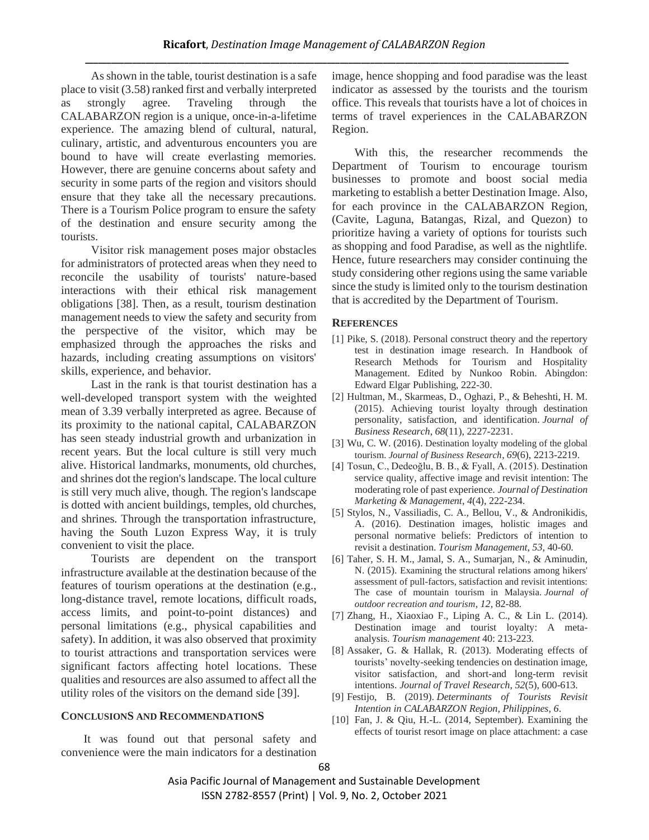As shown in the table, tourist destination is a safe place to visit (3.58) ranked first and verbally interpreted as strongly agree. Traveling through the CALABARZON region is a unique, once-in-a-lifetime experience. The amazing blend of cultural, natural, culinary, artistic, and adventurous encounters you are bound to have will create everlasting memories. However, there are genuine concerns about safety and security in some parts of the region and visitors should ensure that they take all the necessary precautions. There is a Tourism Police program to ensure the safety of the destination and ensure security among the tourists.

Visitor risk management poses major obstacles for administrators of protected areas when they need to reconcile the usability of tourists' nature-based interactions with their ethical risk management obligations [38]. Then, as a result, tourism destination management needs to view the safety and security from the perspective of the visitor, which may be emphasized through the approaches the risks and hazards, including creating assumptions on visitors' skills, experience, and behavior.

Last in the rank is that tourist destination has a well-developed transport system with the weighted mean of 3.39 verbally interpreted as agree. Because of its proximity to the national capital, CALABARZON has seen steady industrial growth and urbanization in recent years. But the local culture is still very much alive. Historical landmarks, monuments, old churches, and shrines dot the region's landscape. The local culture is still very much alive, though. The region's landscape is dotted with ancient buildings, temples, old churches, and shrines. Through the transportation infrastructure, having the South Luzon Express Way, it is truly convenient to visit the place.

Tourists are dependent on the transport infrastructure available at the destination because of the features of tourism operations at the destination (e.g., long-distance travel, remote locations, difficult roads, access limits, and point-to-point distances) and personal limitations (e.g., physical capabilities and safety). In addition, it was also observed that proximity to tourist attractions and transportation services were significant factors affecting hotel locations. These qualities and resources are also assumed to affect all the utility roles of the visitors on the demand side [39].

#### **CONCLUSIONS AND RECOMMENDATIONS**

It was found out that personal safety and convenience were the main indicators for a destination image, hence shopping and food paradise was the least indicator as assessed by the tourists and the tourism office. This reveals that tourists have a lot of choices in terms of travel experiences in the CALABARZON Region.

With this, the researcher recommends the Department of Tourism to encourage tourism businesses to promote and boost social media marketing to establish a better Destination Image. Also, for each province in the CALABARZON Region, (Cavite, Laguna, Batangas, Rizal, and Quezon) to prioritize having a variety of options for tourists such as shopping and food Paradise, as well as the nightlife. Hence, future researchers may consider continuing the study considering other regions using the same variable since the study is limited only to the tourism destination that is accredited by the Department of Tourism.

#### **REFERENCES**

- [1] Pike, S. (2018). Personal construct theory and the repertory test in destination image research. In Handbook of Research Methods for Tourism and Hospitality Management. Edited by Nunkoo Robin. Abingdon: Edward Elgar Publishing, 222-30.
- [2] Hultman, M., Skarmeas, D., Oghazi, P., & Beheshti, H. M. (2015). Achieving tourist loyalty through destination personality, satisfaction, and identification. *Journal of Business Research*, *68*(11), 2227-2231.
- [3] Wu, C. W. (2016). Destination loyalty modeling of the global tourism. *Journal of Business Research*, *69*(6), 2213-2219.
- [4] Tosun, C., Dedeoğlu, B. B., & Fyall, A. (2015). Destination service quality, affective image and revisit intention: The moderating role of past experience. *Journal of Destination Marketing & Management*, *4*(4), 222-234.
- [5] Stylos, N., Vassiliadis, C. A., Bellou, V., & Andronikidis, A. (2016). Destination images, holistic images and personal normative beliefs: Predictors of intention to revisit a destination. *Tourism Management*, *53*, 40-60.
- [6] Taher, S. H. M., Jamal, S. A., Sumarjan, N., & Aminudin, N. (2015). Examining the structural relations among hikers' assessment of pull-factors, satisfaction and revisit intentions: The case of mountain tourism in Malaysia. *Journal of outdoor recreation and tourism*, *12*, 82-88.
- [7] Zhang, H., Xiaoxiao F., Liping A. C., & Lin L. (2014). Destination image and tourist loyalty: A metaanalysis. *Tourism management* 40: 213-223.
- [8] Assaker, G. & Hallak, R. (2013). Moderating effects of tourists' novelty-seeking tendencies on destination image, visitor satisfaction, and short-and long-term revisit intentions. *Journal of Travel Research*, *52*(5), 600-613.
- [9] Festijo, B. (2019). *Determinants of Tourists Revisit Intention in CALABARZON Region, Philippines*, *6*.
- [10] Fan, J. & Qiu, H.-L. (2014, September). Examining the effects of tourist resort image on place attachment: a case